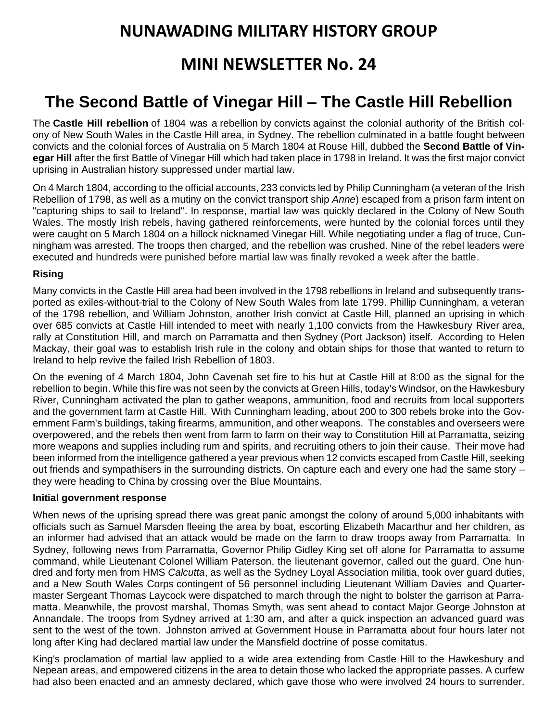# **NUNAWADING MILITARY HISTORY GROUP**

# **MINI NEWSLETTER No. 24**

# **The Second Battle of Vinegar Hill – The Castle Hill Rebellion**

The **Castle Hill rebellion** of 1804 was a [rebellion](https://en.wikipedia.org/wiki/Rebellion) by [convicts](https://en.wikipedia.org/wiki/Convictism_in_Australia) against the colonial authority of the [British col](https://en.wikipedia.org/wiki/British_Empire)[ony](https://en.wikipedia.org/wiki/British_Empire) of [New South Wales](https://en.wikipedia.org/wiki/Colony_of_New_South_Wales) in the [Castle Hill](https://en.wikipedia.org/wiki/Castle_Hill,_New_South_Wales) area, in [Sydney.](https://en.wikipedia.org/wiki/Sydney) The rebellion culminated in a battle fought between convicts and the [colonial forces of Australia](https://en.wikipedia.org/wiki/Colonial_forces_of_Australia) on 5 March 1804 at [Rouse Hill,](https://en.wikipedia.org/wiki/Rouse_Hill,_New_South_Wales) dubbed the **Second Battle of Vinegar Hill** after the first [Battle of Vinegar Hill](https://en.wikipedia.org/wiki/Battle_of_Vinegar_Hill) which had taken place in 1798 in [Ireland.](https://en.wikipedia.org/wiki/Ireland) It was the first major convict uprising in [Australian history](https://en.wikipedia.org/wiki/History_of_Australia) suppressed under [martial law.](https://en.wikipedia.org/wiki/Martial_law)

On 4 March 1804, according to the official accounts, 233 convicts led by Philip Cunningham (a veteran of the [Irish](https://en.wikipedia.org/wiki/Irish_Rebellion_of_1798)  [Rebellion of 1798,](https://en.wikipedia.org/wiki/Irish_Rebellion_of_1798) as well as a [mutiny](https://en.wikipedia.org/wiki/Mutiny) on the convict transport ship *[Anne](https://en.wikipedia.org/wiki/Anne_(1799_ship))*) escaped from a prison farm intent on "capturing ships to sail to Ireland". In response, martial law was quickly declared in the Colony of New South Wales. The mostly Irish rebels, having gathered reinforcements, were hunted by the colonial forces until they were caught on 5 March 1804 on a hillock nicknamed Vinegar Hill. While negotiating under a [flag of truce,](https://en.wikipedia.org/wiki/White_flag) Cunningham was arrested. The troops then charged, and the rebellion was crushed. Nine of the rebel leaders were executed and hundreds were punished before martial law was finally revoked a week after the battle.

### **Rising**

Many convicts in the [Castle Hill](https://en.wikipedia.org/wiki/Castle_Hill,_New_South_Wales) area had been involved in the 1798 rebellions in Ireland and subsequently transported as exiles-without-trial to the Colony of New South Wales from late 1799. Phillip Cunningham, a veteran of the 1798 rebellion, and William Johnston, another Irish convict at Castle Hill, planned an uprising in which over 685 convicts at Castle Hill intended to meet with nearly 1,100 convicts from the [Hawkesbury River](https://en.wikipedia.org/wiki/Hawkesbury_River) area, rally at [Constitution Hill,](https://en.wikipedia.org/wiki/Constitution_Hill,_New_South_Wales) and march on [Parramatta](https://en.wikipedia.org/wiki/Parramatta,_New_South_Wales) and then [Sydney](https://en.wikipedia.org/wiki/Sydney) (Port Jackson) itself. According to Helen Mackay, their goal was to establish Irish rule in the colony and obtain ships for those that wanted to return to Ireland to help revive the failed [Irish Rebellion of 1803.](https://en.wikipedia.org/wiki/Irish_Rebellion_of_1803)

On the evening of 4 March 1804, John Cavenah set fire to his hut at Castle Hill at 8:00 as the signal for the rebellion to begin. While this fire was not seen by the convicts at Green Hills, today's Windsor, on the Hawkesbury River, Cunningham activated the plan to gather weapons, ammunition, food and recruits from local supporters and the government farm at Castle Hill. With Cunningham leading, about 200 to 300 rebels broke into the Government Farm's buildings, taking firearms, ammunition, and other weapons. The constables and overseers were overpowered, and the rebels then went from farm to farm on their way to Constitution Hill at Parramatta, seizing more weapons and supplies including rum and spirits, and recruiting others to join their cause. Their move had been informed from the intelligence gathered a year previous when 12 convicts escaped from Castle Hill, seeking out friends and sympathisers in the surrounding districts. On capture each and every one had the same story – they were heading to China by crossing over the [Blue Mountains.](https://en.wikipedia.org/wiki/Blue_Mountains_(New_South_Wales))

#### **Initial government response**

When news of the uprising spread there was great panic amongst the colony of around 5,000 inhabitants with officials such as [Samuel Marsden](https://en.wikipedia.org/wiki/Samuel_Marsden) fleeing the area by boat, escorting [Elizabeth Macarthur](https://en.wikipedia.org/wiki/Elizabeth_Macarthur) and her children, as an informer had advised that an attack would be made on the farm to draw troops away from Parramatta. In Sydney, following news from Parramatta, Governor [Philip Gidley King](https://en.wikipedia.org/wiki/Philip_Gidley_King) set off alone for Parramatta to assume command, while Lieutenant Colonel [William Paterson,](https://en.wikipedia.org/wiki/William_Paterson_(explorer)) the lieutenant governor, called out the guard. One hundred and forty men from HMS *[Calcutta](https://en.wikipedia.org/wiki/HMS_Calcutta_(1795))*, as well as the Sydney Loyal Association militia, took over guard duties, and a [New South Wales Corps](https://en.wikipedia.org/wiki/New_South_Wales_Corps) contingent of 56 personnel including Lieutenant William Davies and Quartermaster Sergeant Thomas Laycock were dispatched to march through the night to bolster the garrison at Parramatta. Meanwhile, the provost marshal, Thomas Smyth, was sent ahead to contact Major [George Johnston](https://en.wikipedia.org/wiki/George_Johnston_(British_Marines_officer)) at Annandale. The troops from Sydney arrived at 1:30 am, and after a quick inspection an advanced guard was sent to the west of the town. Johnston arrived at Government House in Parramatta about four hours later not long after King had declared martial law under the Mansfield doctrine of [posse comitatus.](https://en.wikipedia.org/wiki/Posse_comitatus)

King's proclamation of martial law applied to a wide area extending from Castle Hill to the Hawkesbury and Nepean areas, and empowered citizens in the area to detain those who lacked the appropriate passes. A curfew had also been enacted and an amnesty declared, which gave those who were involved 24 hours to surrender.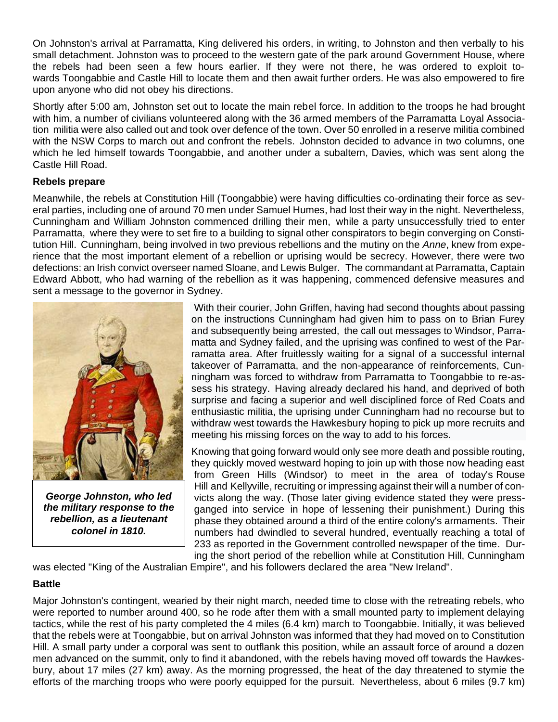On Johnston's arrival at Parramatta, King delivered his orders, in writing, to Johnston and then verbally to his small detachment. Johnston was to proceed to the western gate of the park around Government House, where the rebels had been seen a few hours earlier. If they were not there, he was ordered to exploit towards [Toongabbie](https://en.wikipedia.org/wiki/Toongabbie) and Castle Hill to locate them and then await further orders. He was also empowered to fire upon anyone who did not obey his directions.

Shortly after 5:00 am, Johnston set out to locate the main rebel force. In addition to the troops he had brought with him, a number of civilians volunteered along with the 36 armed members of the Parramatta [Loyal Associa](https://en.wikipedia.org/wiki/Loyal_Association)[tion](https://en.wikipedia.org/wiki/Loyal_Association) militia were also called out and took over defence of the town. Over 50 enrolled in a reserve militia combined with the NSW Corps to march out and confront the rebels. Johnston decided to advance in two columns, one which he led himself towards Toongabbie, and another under a subaltern, Davies, which was sent along the Castle Hill Road.

#### **Rebels prepare**

Meanwhile, the rebels at Constitution Hill [\(Toongabbie\)](https://en.wikipedia.org/wiki/Toongabbie) were having difficulties co-ordinating their force as several parties, including one of around 70 men under Samuel Humes, had lost their way in the night. Nevertheless, Cunningham and William Johnston commenced drilling their men, while a party unsuccessfully tried to enter Parramatta, where they were to set fire to a building to signal other conspirators to begin converging on Constitution Hill. Cunningham, being involved in two previous rebellions and the [mutiny on the](https://en.wikipedia.org/wiki/Anne_(1799_ship)) *Anne*, knew from experience that the most important element of a rebellion or uprising would be secrecy. However, there were two defections: an Irish convict overseer named Sloane, and Lewis Bulger. The commandant at Parramatta, Captain Edward Abbott, who had warning of the rebellion as it was happening, commenced defensive measures and sent a message to the governor in Sydney.



*George Johnston, who led the military response to the rebellion, as a lieutenant colonel in 1810.*

With their courier, John Griffen, having had second thoughts about passing on the instructions Cunningham had given him to pass on to Brian Furey and subsequently being arrested, the call out messages to [Windsor,](https://en.wikipedia.org/wiki/Windsor,_New_South_Wales) Parramatta and Sydney failed, and the uprising was confined to west of the Parramatta area. After fruitlessly waiting for a signal of a successful internal takeover of Parramatta, and the non-appearance of reinforcements, Cunningham was forced to withdraw from Parramatta to Toongabbie to re-assess his strategy. Having already declared his hand, and deprived of both surprise and facing a superior and well disciplined force of [Red Coats](https://en.wikipedia.org/wiki/Red_coat_(British_army)) and enthusiastic militia, the uprising under Cunningham had no recourse but to withdraw west towards the Hawkesbury hoping to pick up more recruits and meeting his missing forces on the way to add to his forces.

Knowing that going forward would only see more death and possible routing, they quickly moved westward hoping to join up with those now heading east from Green Hills (Windsor) to meet in the area of today's [Rouse](https://en.wikipedia.org/wiki/Rouse_Hill,_New_South_Wales)  [Hill](https://en.wikipedia.org/wiki/Rouse_Hill,_New_South_Wales) and [Kellyville,](https://en.wikipedia.org/wiki/Kellyville,_New_South_Wales) recruiting or impressing against their will a number of convicts along the way. (Those later giving evidence stated they were pressganged into service in hope of lessening their punishment.) During this phase they obtained around a third of the entire colony's armaments. Their numbers had dwindled to several hundred, eventually reaching a total of 233 as reported in the Government controlled newspaper of the time. During the short period of the rebellion while at Constitution Hill, Cunningham

was elected "King of the Australian Empire", and his followers declared the area "New Ireland".

### **Battle**

Major Johnston's contingent, wearied by their night march, needed time to close with the retreating rebels, who were reported to number around 400, so he rode after them with a small mounted party to implement delaying tactics, while the rest of his party completed the 4 miles (6.4 km) march to Toongabbie. Initially, it was believed that the rebels were at Toongabbie, but on arrival Johnston was informed that they had moved on to Constitution Hill. A small party under a corporal was sent to outflank this position, while an assault force of around a dozen men advanced on the summit, only to find it abandoned, with the rebels having moved off towards the Hawkesbury, about 17 miles (27 km) away. As the morning progressed, the heat of the day threatened to stymie the efforts of the marching troops who were poorly equipped for the pursuit. Nevertheless, about 6 miles (9.7 km)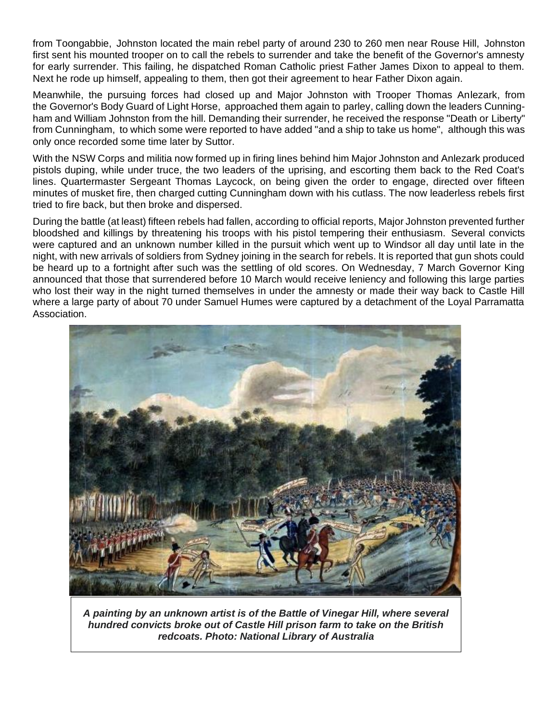from Toongabbie, Johnston located the main rebel party of around 230 to 260 men near Rouse Hill, Johnston first sent his mounted trooper on to call the rebels to surrender and take the benefit of the Governor's amnesty for early surrender. This failing, he dispatched Roman Catholic priest Father James Dixon to appeal to them. Next he rode up himself, appealing to them, then got their agreement to hear Father Dixon again.

Meanwhile, the pursuing forces had closed up and Major Johnston with Trooper Thomas Anlezark, from the [Governor's Body Guard of Light Horse,](https://en.wikipedia.org/wiki/Governor%27s_Body_Guard_of_Light_Horse) approached them again to [parley,](https://en.wikipedia.org/wiki/Parley) calling down the leaders Cunningham and William Johnston from the hill. Demanding their surrender, he received the response "Death or Liberty" from Cunningham, to which some were reported to have added "and a ship to take us home", although this was only once recorded some time later by Suttor.

With the [NSW Corps](https://en.wikipedia.org/wiki/NSW_Corps) and militia now formed up in firing lines behind him Major Johnston and Anlezark produced pistols duping, while under truce, the two leaders of the uprising, and escorting them back to the Red Coat's lines. Quartermaster Sergeant Thomas Laycock, on being given the order to engage, directed over fifteen minutes of musket fire, then charged cutting Cunningham down with his cutlass. The now leaderless rebels first tried to fire back, but then broke and dispersed.

During the battle (at least) fifteen rebels had fallen, according to official reports, Major Johnston prevented further bloodshed and killings by threatening his troops with his pistol tempering their enthusiasm. Several convicts were captured and an unknown number killed in the pursuit which went up to Windsor all day until late in the night, with new arrivals of soldiers from Sydney joining in the search for rebels. It is reported that gun shots could be heard up to a fortnight after such was the settling of old scores. On Wednesday, 7 March Governor King announced that those that surrendered before 10 March would receive leniency and following this large parties who lost their way in the night turned themselves in under the amnesty or made their way back to Castle Hill where a large party of about 70 under Samuel Humes were captured by a detachment of the Loyal Parramatta Association.



*A painting by an unknown artist is of the Battle of Vinegar Hill, where several hundred convicts broke out of Castle Hill prison farm to take on the British redcoats. Photo: National Library of Australia*